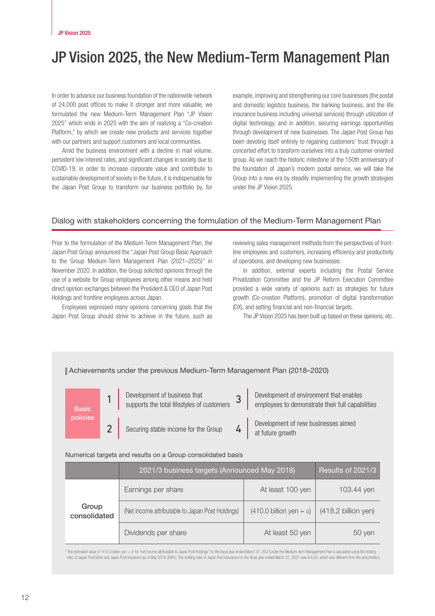# JP Vision 2025, the New Medium-Term Management Plan

In order to advance our business foundation of the nationwide network of 24,000 post offices to make it stronger and more valuable, we formulated the new Medium-Term Management Plan "JP Vision 2025" which ends in 2025 with the aim of realizing a "Co-creation Platform," by which we create new products and services together with our partners and support customers and local communities.

Amid the business environment with a decline in mail volume, persistent low interest rates, and significant changes in society due to COVID-19, in order to increase corporate value and contribute to sustainable development of society in the future, it is indispensable for the Japan Post Group to transform our business portfolio by, for example, improving and strengthening our core businesses (the postal and domestic logistics business, the banking business, and the life insurance business including universal services) through utilization of digital technology, and in addition, securing earnings opportunities through development of new businesses. The Japan Post Group has been devoting itself entirely to regaining customers' trust through a concerted effort to transform ourselves into a truly customer-oriented group. As we reach the historic milestone of the 150th anniversary of the foundation of Japan's modern postal service, we will take the Group into a new era by steadily implementing the growth strategies under the JP Vision 2025.

# Dialog with stakeholders concerning the formulation of the Medium-Term Management Plan

Prior to the formulation of the Medium-Term Management Plan, the Japan Post Group announced the "Japan Post Group Basic Approach to the Group Medium-Term Management Plan (2021–2025)" in November 2020. In addition, the Group solicited opinions through the use of a website for Group employees among other means and held direct opinion exchanges between the President & CEO of Japan Post Holdings and frontline employees across Japan.

Employees expressed many opinions concerning goals that the Japan Post Group should strive to achieve in the future, such as

reviewing sales management methods from the perspectives of frontline employees and customers, increasing efficiency and productivity of operations, and developing new businesses.

In addition, external experts including the Postal Service Privatization Committee and the JP Reform Execution Committee provided a wide variety of opinions such as strategies for future growth (Co-creation Platform), promotion of digital transformation (DX), and setting financial and non-financial targets.

The JP Vision 2025 has been built up based on these opinions, etc.



\* The estimated value of "410.0 billion yen + a" for "net income attributable to Japan Post Holdings" for the fiscal year ended March 31, 2021 under the Medium-term Management Plan is calculated using the holding ratio of Japan Post Bank and Japan Post Insurance as of May 2018 (89%). The holding ratio of Japan Post Insurance for the fiscal year ended March 31, 2021 was 64.5%, which was different from the precondition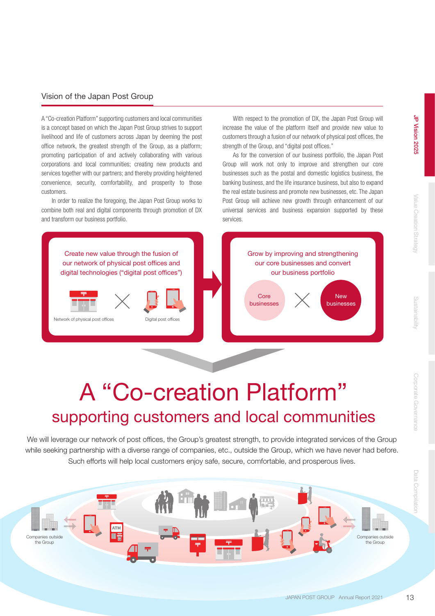# Data Compilation

# Vision of the Japan Post Group

A "Co-creation Platform" supporting customers and local communities is a concept based on which the Japan Post Group strives to support livelihood and life of customers across Japan by deeming the post office network, the greatest strength of the Group, as a platform; promoting participation of and actively collaborating with various corporations and local communities; creating new products and services together with our partners; and thereby providing heightened convenience, security, comfortability, and prosperity to those customers.

In order to realize the foregoing, the Japan Post Group works to combine both real and digital components through promotion of DX and transform our business portfolio.

With respect to the promotion of DX, the Japan Post Group will increase the value of the platform itself and provide new value to customers through a fusion of our network of physical post offices, the strength of the Group, and "digital post offices."

As for the conversion of our business portfolio, the Japan Post Group will work not only to improve and strengthen our core businesses such as the postal and domestic logistics business, the banking business, and the life insurance business, but also to expand the real estate business and promote new businesses, etc. The Japan Post Group will achieve new growth through enhancement of our universal services and business expansion supported by these services.



# A "Co-creation Platform" supporting customers and local communities

We will leverage our network of post offices, the Group's greatest strength, to provide integrated services of the Group while seeking partnership with a diverse range of companies, etc., outside the Group, which we have never had before. Such efforts will help local customers enjoy safe, secure, comfortable, and prosperous lives.

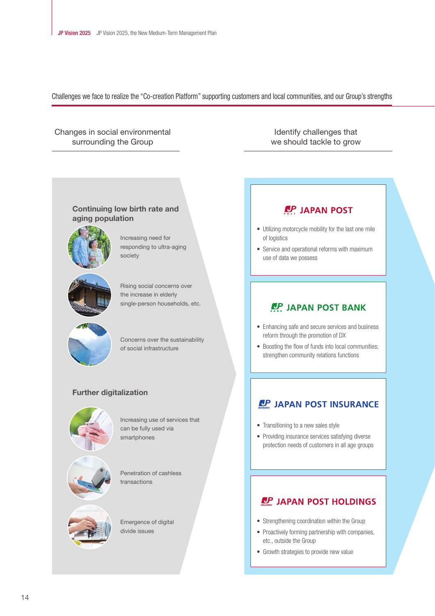Challenges we face to realize the "Co-creation Platform" supporting customers and local communities, and our Group's strengths

# Changes in social environmental surrounding the Group

Identify challenges that we should tackle to grow

# Continuing low birth rate and aging population



Increasing need for responding to ultra-aging society



Rising social concerns over the increase in elderly single-person households, etc.



Concerns over the sustainability of social infrastructure

# Further digitalization



Increasing use of services that can be fully used via smartphones

Penetration of cashless transactions



Emergence of digital divide issues

# • Utilizing motorcycle mobility for the last one mile of logistics

• Service and operational reforms with maximum use of data we possess

**P.P. JAPAN POST** 

# **AP JAPAN POST BANK**

- Enhancing safe and secure services and business reform through the promotion of DX
- Boosting the flow of funds into local communities; strengthen community relations functions

# **LP JAPAN POST INSURANCE**

- Transitioning to a new sales style
- Providing insurance services satisfying diverse protection needs of customers in all age groups

# **LP JAPAN POST HOLDINGS**

- Strengthening coordination within the Group
- Proactively forming partnership with companies, etc., outside the Group
- Growth strategies to provide new value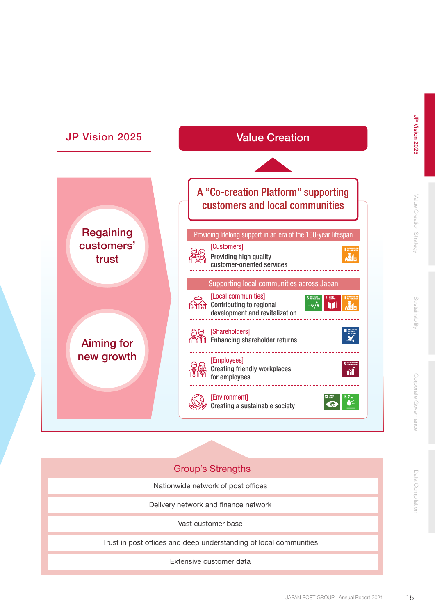

JP Vision 2025

# Group's Strengths

Nationwide network of post offices

Delivery network and finance network

Vast customer base

Trust in post offices and deep understanding of local communities

Extensive customer data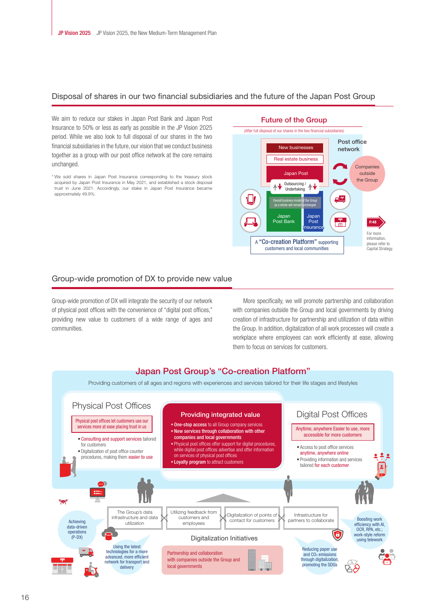# Disposal of shares in our two financial subsidiaries and the future of the Japan Post Group

We aim to reduce our stakes in Japan Post Bank and Japan Post Insurance to 50% or less as early as possible in the JP Vision 2025 period. While we also look to full disposal of our shares in the two financial subsidiaries in the future, our vision that we conduct business together as a group with our post office network at the core remains unchanged.

<sup>\*</sup> We sold shares in Japan Post Insurance corresponding to the treasury stock acquired by Japan Post Insurance in May 2021, and established a stock disposal trust in June 2021. Accordingly, our stake in Japan Post Insurance became approximately 49.9%.



### Future of the Group

## Group-wide promotion of DX to provide new value

Group-wide promotion of DX will integrate the security of our network of physical post offices with the convenience of "digital post offices," providing new value to customers of a wide range of ages and communities.

More specifically, we will promote partnership and collaboration with companies outside the Group and local governments by driving creation of infrastructure for partnership and utilization of data within the Group. In addition, digitalization of all work processes will create a workplace where employees can work efficiently at ease, allowing them to focus on services for customers.

### Japan Post Group's "Co-creation Platform" Providing customers of all ages and regions with experiences and services tailored for their life stages and lifestyles Physical Post Offices Providing integrated value Digital Post Offices Physical post offices let customers use our • One-stop access to all Group company services services more at ease placing trust in us Anytime, anywhere Easier to use, more • New services through collaboration with other accessible for more customers companies and local governments • Consulting and support services tailored • Physical post offices offer support for digital procedures, for customers  $\bullet$  Access to post office services while digital post offices advertise and offer information • Digitalization of post office counter anytime, anywhere online on services of physical post offices procedures, making them easier to use • Providing information and services • Loyalty program to attract customers tailored for each customer The Group's data Utilizing feedback from Digitalization of points of Infrastructure for infrastructure and data customers and Boosting work contact for customers partners to collaborate Achieving utilization employees efficiency with AI. data-driven OCR, RPA, etc.; operations O work-style reform  $(P-DX)$ Digitalization Initiatives using telework Using the latest Reducing paper use technologies for a more<br>advanced, more efficient Partnership and collaboration and  $CO<sub>2</sub>$  emissions with companies outside the Group and through digitalization, promoting the SDGs network for transport and local governments delivery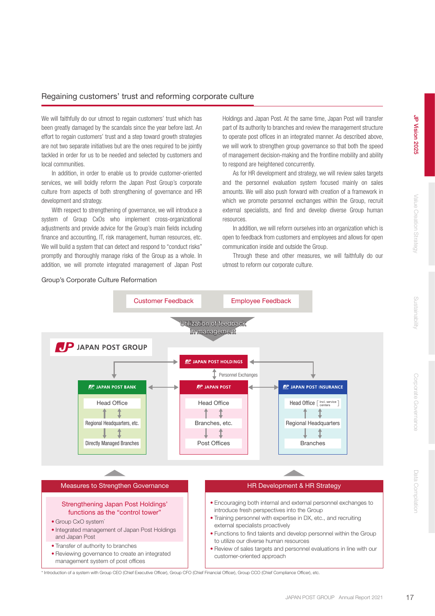# Regaining customers' trust and reforming corporate culture

We will faithfully do our utmost to regain customers' trust which has been greatly damaged by the scandals since the year before last. An effort to regain customers' trust and a step toward growth strategies are not two separate initiatives but are the ones required to be jointly tackled in order for us to be needed and selected by customers and local communities.

In addition, in order to enable us to provide customer-oriented services, we will boldly reform the Japan Post Group's corporate culture from aspects of both strengthening of governance and HR development and strategy.

With respect to strengthening of governance, we will introduce a system of Group CxOs who implement cross-organizational adjustments and provide advice for the Group's main fields including finance and accounting, IT, risk management, human resources, etc. We will build a system that can detect and respond to "conduct risks" promptly and thoroughly manage risks of the Group as a whole. In addition, we will promote integrated management of Japan Post Holdings and Japan Post. At the same time, Japan Post will transfer part of its authority to branches and review the management structure to operate post offices in an integrated manner. As described above, we will work to strengthen group governance so that both the speed of management decision-making and the frontline mobility and ability to respond are heightened concurrently.

As for HR development and strategy, we will review sales targets and the personnel evaluation system focused mainly on sales amounts. We will also push forward with creation of a framework in which we promote personnel exchanges within the Group, recruit external specialists, and find and develop diverse Group human resources.

In addition, we will reform ourselves into an organization which is open to feedback from customers and employees and allows for open communication inside and outside the Group.

Through these and other measures, we will faithfully do our utmost to reform our corporate culture.



\* Introduction of a system with Group CEO (Chief Executive Officer), Group CFO (Chief Financial Officer), Group CCO (Chief Compliance Officer), etc.

# Group's Corporate Culture Reformation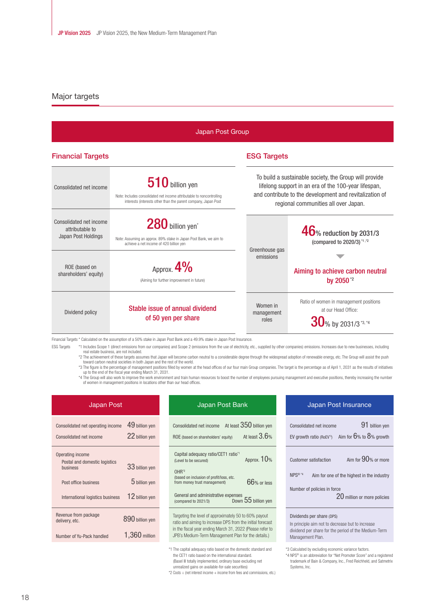# Major targets

| Japan Post Group                                                  |                                                                                                                                                              |                                                                                                                                                                                                                   |                                                                                                    |  |  |  |
|-------------------------------------------------------------------|--------------------------------------------------------------------------------------------------------------------------------------------------------------|-------------------------------------------------------------------------------------------------------------------------------------------------------------------------------------------------------------------|----------------------------------------------------------------------------------------------------|--|--|--|
| <b>Financial Targets</b>                                          |                                                                                                                                                              | <b>ESG Targets</b>                                                                                                                                                                                                |                                                                                                    |  |  |  |
| Consolidated net income                                           | $510$ billion yen<br>Note: Includes consolidated net income attributable to noncontrolling<br>interests (interests other than the parent company, Japan Post | To build a sustainable society, the Group will provide<br>lifelong support in an era of the 100-year lifespan,<br>and contribute to the development and revitalization of<br>regional communities all over Japan. |                                                                                                    |  |  |  |
| Consolidated net income<br>attributable to<br>Japan Post Holdings | 280 billion yen <sup>*</sup><br>Note: Assuming an approx. 89% stake in Japan Post Bank, we aim to<br>achieve a net income of 420 billion yen                 | Greenhouse gas                                                                                                                                                                                                    | $46$ % reduction by 2031/3<br>(compared to 2020/3) <sup>*1,*2</sup>                                |  |  |  |
| ROE (based on<br>shareholders' equity)                            | Approx. $4\%$<br>(Aiming for further improvement in future)                                                                                                  | emissions                                                                                                                                                                                                         | Aiming to achieve carbon neutral<br>by 2050 <sup>*2</sup>                                          |  |  |  |
| Dividend policy                                                   | Stable issue of annual dividend<br>of 50 yen per share                                                                                                       | Women in<br>management<br>roles                                                                                                                                                                                   | Ratio of women in management positions<br>at our Head Office:<br>$30$ % by 2031/3 <sup>*3,*4</sup> |  |  |  |

Financial Targets \* Calculated on the assumption of a 50% stake in Japan Post Bank and a 49.9% stake in Japan Post Insurance.

ESG Targets \*1 Includes Scope 1 (direct emissions from our companies) and Scope 2 (emissions from the use of electricity, etc., supplied by other companies) emissions. Increases due to new businesses, including<br>real estate \*2 The achievement of these targets assumes that Japan will become carbon neutral to a considerable degree through the widespread adoption of renewable energy, etc. The Group will assist the push

toward carbon neutral societies in both Japan and the rest of the world.

\*3 The figure is the percentage of management positions filled by women at the head offices of our four main Group companies. The target is the percentage as of April 1, 2031 as the results of initiatives<br>up to the end of of women in management positions in locations other than our head offices.

| Japan Post                                                                                                                |                                                     | Japan Post Bank                                                                                                                                                                                                                                                                                | Japan Pos                                                                                                  |  |
|---------------------------------------------------------------------------------------------------------------------------|-----------------------------------------------------|------------------------------------------------------------------------------------------------------------------------------------------------------------------------------------------------------------------------------------------------------------------------------------------------|------------------------------------------------------------------------------------------------------------|--|
| Consolidated net operating income<br>Consolidated net income                                                              | 49 billion yen<br>22 billion yen                    | At least 350 billion yen<br>Consolidated net income<br>At least $3.6%$<br>ROE (based on shareholders' equity)                                                                                                                                                                                  | Consolidated net income<br>EV growth ratio (RoEV <sup>3</sup> )                                            |  |
| Operating income<br>Postal and domestic logistics<br>business<br>Post office business<br>International logistics business | 33 billion yen<br>$5$ billion yen<br>12 billion yen | Capital adequacy ratio/CET1 ratio <sup>*1</sup><br>Approx. $10%$<br>(Level to be secured)<br>OHR <sup>2</sup><br>(based on inclusion of profit/loss, etc.<br>66% or less<br>from money trust management)<br>General and administrative expenses<br>Down 55 billion yen<br>(compared to 2021/3) | <b>Customer satisfaction</b><br>NPS <sup>®*4</sup><br>Aim for one o<br>Number of policies in for           |  |
| Revenue from package<br>delivery, etc.<br>Number of Yu-Pack handled                                                       | 890 billion yen<br>1,360 million                    | Targeting the level of approximately 50 to 60% payout<br>ratio and aiming to increase DPS from the initial forecast<br>in the fiscal year ending March 31, 2022 (Please refer to<br>JPB's Medium-Term Management Plan for the details.)                                                        | Dividends per share (DPS)<br>In principle aim not to dec<br>dividend per share for the<br>Management Plan. |  |
|                                                                                                                           |                                                     | *1 The capital adequacy ratio based on the domestic standard and                                                                                                                                                                                                                               | *3 Calculated by excluding econd                                                                           |  |

| Uapan Post Dann                                                                                                                                                                                                                         |  |  |
|-----------------------------------------------------------------------------------------------------------------------------------------------------------------------------------------------------------------------------------------|--|--|
| Consolidated net income At least $350$ billion yen<br>At least $3.6%$<br>ROE (based on shareholders' equity)                                                                                                                            |  |  |
| Capital adequacy ratio/CET1 ratio <sup>*1</sup><br>Approx. 10%<br>(Level to be secured)                                                                                                                                                 |  |  |
| $OHR*2$<br>(based on inclusion of profit/loss, etc.<br>66% or less<br>from money trust management)                                                                                                                                      |  |  |
| General and administrative expenses<br>Down 55 billion yen<br>(compared to 2021/3)                                                                                                                                                      |  |  |
| Targeting the level of approximately 50 to 60% payout<br>ratio and aiming to increase DPS from the initial forecast<br>in the fiscal year ending March 31, 2022 (Please refer to<br>JPB's Medium-Term Management Plan for the details.) |  |  |

uacy ratio based on the domestic standard and the CET1 ratio based on the international standard. (Basel III totally implemented, ordinary base excluding net unrealized gains on available-for-sale securities)

\*2 Costs ÷ (net interest income + income from fees and commissions, etc.)

| Japan Post Insurance                                               |                                                                                      |  |  |  |
|--------------------------------------------------------------------|--------------------------------------------------------------------------------------|--|--|--|
| Consolidated net income                                            | 91 billion yen<br>EV growth ratio (RoEV <sup>3</sup> ) Aim for $6\%$ to $8\%$ growth |  |  |  |
| <b>Customer satisfaction</b>                                       | Aim for $90%$ or more                                                                |  |  |  |
| $NPS^{\circledR 14}$<br>Aim for one of the highest in the industry |                                                                                      |  |  |  |
| Number of policies in force<br>20 million or more policies         |                                                                                      |  |  |  |
| Dividends ner share (DPS)                                          |                                                                                      |  |  |  |

In principle aim not to decrease but to increase

dividend per share for the period of the Medium-Term Management Plan.

\*3 Calculated by excluding economic variance factors.

\*4 NPS® is an abbreviation for "Net Promoter Score" and a registered trademark of Bain & Company, Inc., Fred Reichheld, and Satmetrix Systems, Inc.